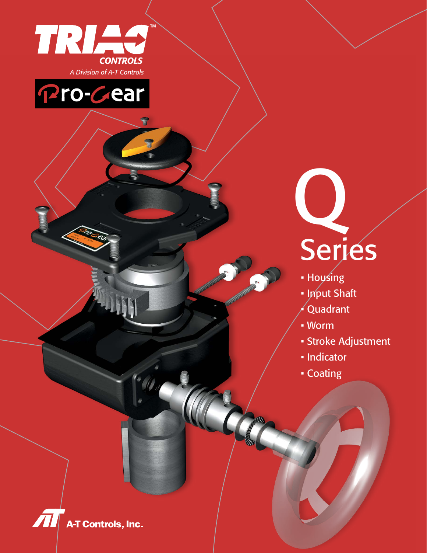

Pro-Cear

# Q **Series**

- Housing
- Input Shaft
- Quadrant
- Worm
- Stroke Adjustment
- Indicator
- Coating

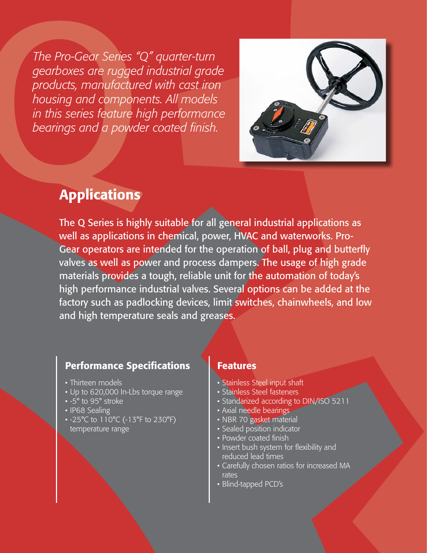*The Pro-Gear Series "Q" quarter-turn gearboxes are rugged industrial grade products, manufactured with cast iron housing and components. All models in this series feature high performance bearings and a powder coated finish.*



# Applications

The Q Series is highly suitable for all general industrial applications as well as applications in chemical, power, HVAC and waterworks. Pro-Gear operators are intended for the operation of ball, plug and butterfly valves as well as power and process dampers. The usage of high grade materials provides a tough, reliable unit for the automation of today's high performance industrial valves. Several options can be added at the factory such as padlocking devices, limit switches, chainwheels, and low and high temperature seals and greases.

#### Performance Specifications

- Thirteen models
- Up to 620,000 In-Lbs torque range
- -5° to 95° stroke
- IP68 Sealing
- -25°C to 110°C (-13°F to 230°F) temperature range

#### **Features**

- Stainless Steel input shaft
- Stainless Steel fasteners
- Standarized according to DIN/ISO 5211
- Axial needle bearings
- NBR 70 gasket material
- Sealed position indicator
- Powder coated finish
- Insert bush system for flexibility and reduced lead times
- Carefully chosen ratios for increased MA rates
- Blind-tapped PCD's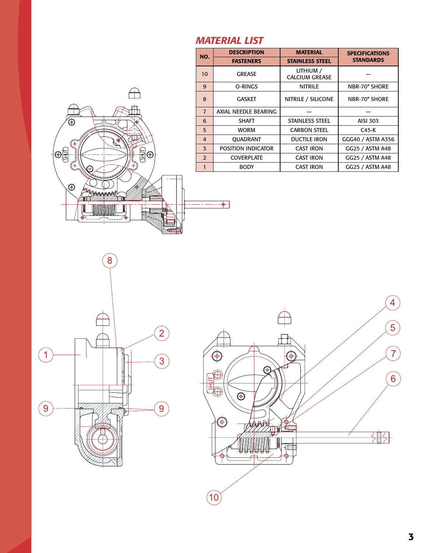#### *MATERIAL LIST*

|                                                  | 10                      |              |
|--------------------------------------------------|-------------------------|--------------|
|                                                  | 9                       |              |
|                                                  | 8                       |              |
|                                                  | $\overline{7}$          | <b>AXIAL</b> |
| ⊕<br>Ð                                           | 6                       |              |
|                                                  | 5                       |              |
|                                                  | $\overline{4}$          |              |
|                                                  | $\overline{\mathbf{3}}$ | POSI         |
| $\bigoplus$<br><b>子</b><br>Φ                     | $\overline{2}$          |              |
| ┿<br>ದಿ                                          | $\mathbf{1}$            |              |
| $\bigoplus$<br><b>BARABARARA</b><br>♦<br>P.<br>т |                         | ⊕            |

| NO.            | <b>DESCRIPTION</b>        | <b>MATERIAL</b>                    | <b>SPECIFICATIONS</b> |
|----------------|---------------------------|------------------------------------|-----------------------|
|                | <b>FASTENERS</b>          | <b>STAINLESS STEEL</b>             | <b>STANDARDS</b>      |
| 10             | <b>GREASE</b>             | LITHIUM /<br><b>CALCIUM GREASE</b> |                       |
| 9              | O-RINGS                   | <b>NITRILE</b>                     | NBR-70° SHORE         |
| 8              | <b>GASKET</b>             | NITRILE / SILICONE                 | NBR-70° SHORE         |
| $\overline{7}$ | AXIAL NEEDLE BEARING      |                                    |                       |
| 6              | <b>SHAFT</b>              | <b>STAINLESS STEEL</b>             | <b>AISI 303</b>       |
| 5              | <b>WORM</b>               | <b>CARBON STEEL</b>                | C45-K                 |
| $\overline{4}$ | OUADRANT                  | <b>DUCTILE IRON</b>                | GGG40 / ASTM A356     |
| 3              | <b>POSITION INDICATOR</b> | <b>CAST IRON</b>                   | GG25 / ASTM A48       |
| $\overline{2}$ | <b>COVERPLATE</b>         | <b>CAST IRON</b>                   | GG25 / ASTM A48       |
| 1              | <b>BODY</b>               | <b>CAST IRON</b>                   | GG25 / ASTM A48       |



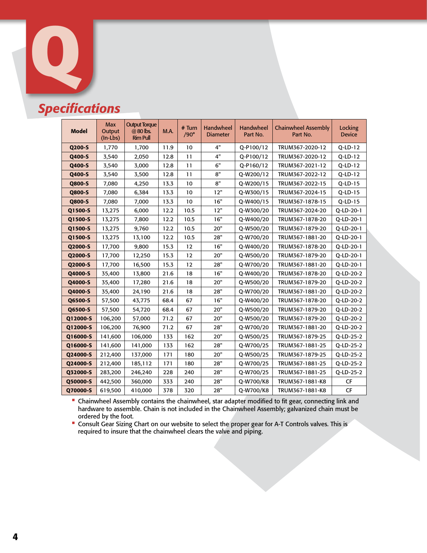

# *Specifications*

| <b>Model</b> | <b>Max</b><br>Output<br>$(In-Lbs)$ | <b>Output Torque</b><br>@ 80 lbs.<br><b>Rim Pull</b> | M.A. | $#$ Turn<br>$/90^\circ$ | Handwheel<br><b>Diameter</b> | <b>Handwheel</b><br>Part No. | <b>Chainwheel Assembly</b><br>Part No. | Locking<br><b>Device</b> |
|--------------|------------------------------------|------------------------------------------------------|------|-------------------------|------------------------------|------------------------------|----------------------------------------|--------------------------|
| Q200-S       | 1,770                              | 1,700                                                | 11.9 | 10                      | 4"                           | Q-P100/12                    | TRUM367-2020-12                        | $Q-LD-12$                |
| Q400-S       | 3,540                              | 2,050                                                | 12.8 | 11                      | 4"                           | Q-P100/12                    | TRUM367-2020-12                        | $Q$ -LD-12               |
| Q400-S       | 3,540                              | 3,000                                                | 12.8 | 11                      | 6"                           | Q-P160/12                    | TRUM367-2021-12                        | Q-LD-12                  |
| Q400-S       | 3,540                              | 3,500                                                | 12.8 | 11                      | 8"                           | Q-W200/12                    | TRUM367-2022-12                        | $Q$ -LD-12               |
| Q800-S       | 7,080                              | 4,250                                                | 13.3 | 10                      | 8"                           | Q-W200/15                    | TRUM367-2022-15                        | Q-LD-15                  |
| Q800-S       | 7,080                              | 6,384                                                | 13.3 | 10                      | 12"                          | Q-W300/15                    | TRUM367-2024-15                        | Q-LD-15                  |
| Q800-S       | 7,080                              | 7,000                                                | 13.3 | 10                      | 16"                          | Q-W400/15                    | TRUM367-1878-15                        | Q-LD-15                  |
| Q1500-S      | 13,275                             | 6,000                                                | 12.2 | 10.5                    | 12"                          | Q-W300/20                    | TRUM367-2024-20                        | Q-LD-20-1                |
| Q1500-S      | 13,275                             | 7,800                                                | 12.2 | 10.5                    | 16"                          | Q-W400/20                    | TRUM367-1878-20                        | Q-LD-20-1                |
| Q1500-S      | 13,275                             | 9,760                                                | 12.2 | 10.5                    | 20"                          | Q-W500/20                    | TRUM367-1879-20                        | Q-LD-20-1                |
| Q1500-S      | 13,275                             | 13,100                                               | 12.2 | 10.5                    | 28"                          | Q-W700/20                    | TRUM367-1881-20                        | Q-LD-20-1                |
| Q2000-S      | 17,700                             | 9,800                                                | 15.3 | 12                      | 16"                          | Q-W400/20                    | TRUM367-1878-20                        | Q-LD-20-1                |
| Q2000-S      | 17,700                             | 12,250                                               | 15.3 | 12                      | 20"                          | Q-W500/20                    | TRUM367-1879-20                        | Q-LD-20-1                |
| Q2000-S      | 17,700                             | 16,500                                               | 15.3 | 12                      | 28"                          | Q-W700/20                    | TRUM367-1881-20                        | Q-LD-20-1                |
| Q4000-S      | 35,400                             | 13,800                                               | 21.6 | 18                      | 16"                          | Q-W400/20                    | TRUM367-1878-20                        | Q-LD-20-2                |
| Q4000-S      | 35,400                             | 17,280                                               | 21.6 | 18                      | 20"                          | Q-W500/20                    | TRUM367-1879-20                        | Q-LD-20-2                |
| Q4000-S      | 35,400                             | 24,190                                               | 21.6 | 18                      | 28"                          | Q-W700/20                    | TRUM367-1881-20                        | Q-LD-20-2                |
| Q6500-S      | 57,500                             | 43,775                                               | 68.4 | 67                      | 16"                          | Q-W400/20                    | TRUM367-1878-20                        | Q-LD-20-2                |
| Q6500-S      | 57,500                             | 54,720                                               | 68.4 | 67                      | 20"                          | Q-W500/20                    | TRUM367-1879-20                        | Q-LD-20-2                |
| Q12000-S     | 106,200                            | 57,000                                               | 71.2 | 67                      | 20"                          | Q-W500/20                    | TRUM367-1879-20                        | Q-LD-20-2                |
| Q12000-S     | 106,200                            | 76,900                                               | 71.2 | 67                      | 28"                          | Q-W700/20                    | TRUM367-1881-20                        | Q-LD-20-2                |
| Q16000-S     | 141,600                            | 106,000                                              | 133  | 162                     | 20"                          | Q-W500/25                    | TRUM367-1879-25                        | Q-LD-25-2                |
| Q16000-S     | 141,600                            | 141,000                                              | 133  | 162                     | 28"                          | Q-W700/25                    | TRUM367-1881-25                        | Q-LD-25-2                |
| Q24000-S     | 212,400                            | 137,000                                              | 171  | 180                     | 20"                          | Q-W500/25                    | TRUM367-1879-25                        | Q-LD-25-2                |
| Q24000-S     | 212,400                            | 185,112                                              | 171  | 180                     | 28"                          | Q-W700/25                    | TRUM367-1881-25                        | Q-LD-25-2                |
| Q32000-S     | 283,200                            | 246,240                                              | 228  | 240                     | 28"                          | Q-W700/25                    | TRUM367-1881-25                        | Q-LD-25-2                |
| Q50000-S     | 442,500                            | 360,000                                              | 333  | 240                     | 28"                          | Q-W700/K8                    | TRUM367-1881-K8                        | <b>CF</b>                |
| Q70000-S     | 619,500                            | 410,000                                              | 378  | 320                     | 28"                          | Q-W700/K8                    | TRUM367-1881-K8                        | CF                       |

• Chainwheel Assembly contains the chainwheel, star adapter modified to fit gear, connecting link and hardware to assemble. Chain is not included in the Chainwheel Assembly; galvanized chain must be ordered by the foot.

• Consult Gear Sizing Chart on our website to select the proper gear for A-T Controls valves. This is required to insure that the chainwheel clears the valve and piping.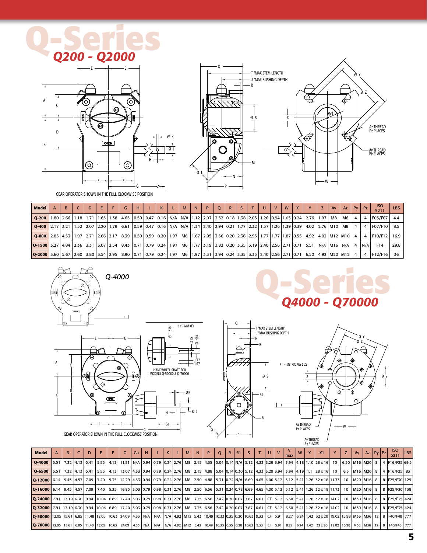# **Q-Series** *Q200 - Q2000*







GEAR OPERATOR SHOWN IN THE FULL CLOCKWISE POSITION

| Model                                                                                                                                                                 | B. | D. | E. | G. | H | K | M | N | $\mathbf{P}$ | Q | R | S. | T | $\mathbf{U}$ | V | W | $\mathbf{x}$ | Y                                                                                                                                                                        | <b>Z</b> 1 | Av              | Az   | $P_V$ $P_Z$    |                | <b>ISO</b><br>5211 | LBS  |
|-----------------------------------------------------------------------------------------------------------------------------------------------------------------------|----|----|----|----|---|---|---|---|--------------|---|---|----|---|--------------|---|---|--------------|--------------------------------------------------------------------------------------------------------------------------------------------------------------------------|------------|-----------------|------|----------------|----------------|--------------------|------|
| $O-200$                                                                                                                                                               |    |    |    |    |   |   |   |   |              |   |   |    |   |              |   |   |              | 1.80   2.66   1.18   1.71   1.65   1.38   4.65   0.59   0.47   0.16   N/A   N/A   1.12   2.07   2.52   0.18   1.38   2.05   1.20   0.94   1.05   0.24   2.76   1.97   M8 |            |                 | M6 I | $\overline{4}$ |                | F05/F07            | 4.4  |
| <b>Q-400</b> 2.17 3.21 1.52 2.07 2.20 1.79 6.61 0.59 0.47 0.16 N/A N/A 1.34 2.40 2.94 0.21 1.77 2.32 1.57 1.26 1.39 0.39 4.02 2.76 M10 M8                             |    |    |    |    |   |   |   |   |              |   |   |    |   |              |   |   |              |                                                                                                                                                                          |            |                 |      | $\overline{4}$ |                | F07/F10   8.5      |      |
| 0.59 0.28 1.27 1.27 1.27 1.27 1.27 1.27 1.26 2.17 8.39 0.59 0.59 0.59 1.97 1.97 1.67 2.95 3.56 0.20 2.36 2.95 1.77 1.77 1.77 1.87 0.55 4.92 1.402 M12 M10             |    |    |    |    |   |   |   |   |              |   |   |    |   |              |   |   |              |                                                                                                                                                                          |            |                 |      |                | $\overline{4}$ | F10/F12 16.9       |      |
| Q-1500   3.27   4.84   2.36   3.31   3.07   2.54   8.43   0.71   0.79   0.24   1.97   M6   1.77   3.19   3.82   0.20   3.35   3.19   2.40   2.56   2.71   0.71   5.51 |    |    |    |    |   |   |   |   |              |   |   |    |   |              |   |   |              |                                                                                                                                                                          |            | N/A   M16   N/A |      | 4              | N/A            | F14                | 29.8 |
| Q-2000 3.60 5.67 2.60 3.80 3.80 3.54 2.95 8.90 0.71 0.79 0.24 1.97 M6 1.97 3.31 3.94 0.24 3.35 3.35 2.40 2.56 2.71 0.71 6.50 4.92 M20 M12                             |    |    |    |    |   |   |   |   |              |   |   |    |   |              |   |   |              |                                                                                                                                                                          |            |                 |      | 4              |                | F12/F16            | 36   |



A

C

D

B







| Model                                                                                                                                                                                                                          | <sub>R</sub> |  | F | G | Ga |  | $K$ $L$ | M <sub>1</sub> | N | P. | $\circ$ | R | R1 | S <sub>1</sub> | T | UI. | V | max |  | X1                                                                                                                                                                                            | Z I |               | $Ay \mid Az \mid Py \mid Pz \mid$ |  | <b>ISO</b><br>5211 | LBS |
|--------------------------------------------------------------------------------------------------------------------------------------------------------------------------------------------------------------------------------|--------------|--|---|---|----|--|---------|----------------|---|----|---------|---|----|----------------|---|-----|---|-----|--|-----------------------------------------------------------------------------------------------------------------------------------------------------------------------------------------------|-----|---------------|-----------------------------------|--|--------------------|-----|
| <b>Q-4000</b> 5.51 7.32 4.13 5.41 5.55 4.13 11.81 N/A 0.94 0.79 0.24 2.76 M8 2.15 4.35 5.04 0.14 N/A 5.12 4.33 3.29 3.94 3.94 4.18 1.10 28 x 16 10 6.50 M16 M20 8 4 F16/F25 69.5                                               |              |  |   |   |    |  |         |                |   |    |         |   |    |                |   |     |   |     |  |                                                                                                                                                                                               |     |               |                                   |  |                    |     |
|                                                                                                                                                                                                                                |              |  |   |   |    |  |         |                |   |    |         |   |    |                |   |     |   |     |  |                                                                                                                                                                                               |     | 6.5 M16 M20 8 |                                   |  | 4 F16/F25 83       |     |
| 0.94 0.12000 6.14 9.45 4.57 7.09 7.40 5.35 14.29 4.33 0.94 0.79 0.24 2.76 M8 2.50 4.88 5.31 0.24 N/A 6.69 4.65 4.00 5.12 5.12 5.12 5.41 1.26 32 x 18 11.73 10 M20 M16 8                                                        |              |  |   |   |    |  |         |                |   |    |         |   |    |                |   |     |   |     |  |                                                                                                                                                                                               |     |               |                                   |  | 8 F25/F30 125      |     |
| 0.9   0.16   4.5   4.5   4.5   4.5   4.5   7.09   7.40   5.35   16.85   3.03   0.79   0.98   0.31   2.76   M8   2.50   6.56   5.31   0.24   0.78   6.69   4.65   4.00   5.12   5.12   5.41   1.26   32 x 18   11.73   10   M20 |              |  |   |   |    |  |         |                |   |    |         |   |    |                |   |     |   |     |  |                                                                                                                                                                                               |     |               |                                   |  | 8 F25/F30 138      |     |
| 0.8   0.24000   7.91   13.19   6.30   9.94   10.04   6.89   17.40   3.03   0.79   0.98   0.31   2.76   M8   3.35   6.56   7.42   0.20   0.07   7.87   6.61   CF   5.12   6.30   5.41   1.26   32 x 18   14.02   10   M30   M16 |              |  |   |   |    |  |         |                |   |    |         |   |    |                |   |     |   |     |  |                                                                                                                                                                                               |     |               |                                   |  | 8 F25/F35 424      |     |
| 0.8   0.52000 1291 13.19   6.30   9.94 10.04   6.89   17.40   3.03   0.79   0.98   0.31   2.76   M8   3.35   6.56   7.42   0.20   0.07   7.87   6.61   CF   5.12   6.30   5.41   1.26   32 x 18   14.02   10   M30   M16   8   |              |  |   |   |    |  |         |                |   |    |         |   |    |                |   |     |   |     |  |                                                                                                                                                                                               |     |               |                                   |  | 8 F25/F35 424      |     |
| 0-50000 12.05 15.61 6.85 11.48 12.05 10.63 24.09 4.33 N/A   N/A   N/A   N/A   4.92 M12 5.43 10.49 10.33 0.35 0.20 10.63 9.33 CF 5.91 8.27 6.24 1.42 32 x 20 19.02 15.98 M36 M36 12 8 F40/F48 777                               |              |  |   |   |    |  |         |                |   |    |         |   |    |                |   |     |   |     |  |                                                                                                                                                                                               |     |               |                                   |  |                    |     |
| $\mid$ 0-70000   12.05   15.61   6.85   11.48   12.05                                                                                                                                                                          |              |  |   |   |    |  |         |                |   |    |         |   |    |                |   |     |   |     |  | 10.63   24.09   4.33   N/A   N/A   N/A   4.92   M12   5.43   10.49   10.33   0.35   0.20   10.63   9.33   CF   5.91   8.27   6.24   1.42   32 x 20   19.02   15.98   M36   M36   M36   12   8 |     |               |                                   |  | F40/F48 777        |     |

Ø L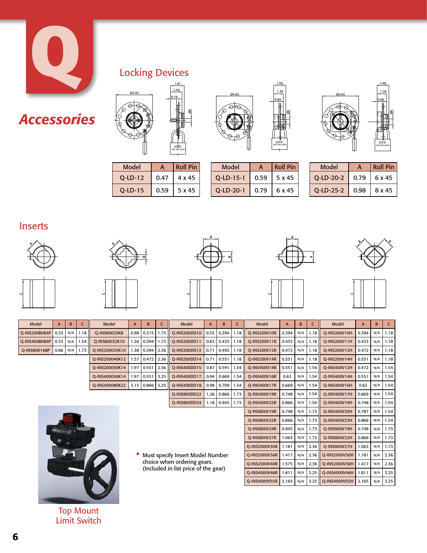

# *Accessories*

## Locking Devices



| Model      |      | Roll Pin |
|------------|------|----------|
| $O$ -LD-12 | 0.47 | 4 x 45   |
| $O$ -LD-15 | 0.59 | 5 x 45   |



| Model        | А    | <b>Roll Pin</b> |
|--------------|------|-----------------|
| $Q$ -LD-15-1 | 0.59 | 5 x 45          |
| $O$ -LD-20-1 | 0.79 | 6 x 45          |
|              |      |                 |



| <b>Model</b> |      | <b>Roll Pin</b> |
|--------------|------|-----------------|
| $O$ -LD-20-2 | 0.79 | 6 x 45          |
| $Q$ -LD-25-2 | 0.98 | 8 x 45          |

#### Inserts











Q-INS4000V55R 2.165 | N/A | 3.25 | Q-INS4000V55H 2.165 | N/A | 3.25

ØA





| Model                                | A    | B   | c    | Model          | A    | B               | C                    | Model                       | A     | B            | C             | Model                | A     | B    | C.     | Model         | A     | B   | C    |
|--------------------------------------|------|-----|------|----------------|------|-----------------|----------------------|-----------------------------|-------|--------------|---------------|----------------------|-------|------|--------|---------------|-------|-----|------|
| O-INS200B084P                        | 0.33 | N/A | 1.18 | O-INS80025K8   |      | 0.98 0.315      | 1.73                 | O-INS200DD10                | 0.55  | 0.394        | 1.18          | <b>O-INS200V10R</b>  | 0.394 | N/A  | 1.18 l | O-INS200V10H  | 0.394 | N/A | 1.18 |
| O-INS400B084P                        | 0.33 | N/A | 1.54 | O-INS80032K10  |      | 1.26 0.394      | 1.73                 | O-INS200DD11                | 0.63  | 0.433        | 1.18          | <b>O-INS200V11R</b>  | 0.433 | N/A  | 1.18 l | O-INS200V11H  | 0.433 | N/A | 1.18 |
| Q-INS800168P                         | 0.66 | N/A | 1.73 | O-INS200035K10 |      | 1.38 0.394 1    | 2.36                 | O-INS200DD12                | 0.71  | 0.492        | 1.18          | <b>O-INS200V12R</b>  | 0.472 | N/A  | 1.18   | Q-INS200V12H  | 0.472 | N/A | 1.18 |
|                                      |      |     |      | Q-INS200040K12 | 1.57 | 0.472           | 2.36                 | Q-INS200DD14                | 0.71  | 0.551        | 1.18          | Q-INS200V14R         | 0.551 | N/A  | 1.18   | Q-INS200V14H  | 0.551 | N/A | 1.18 |
|                                      |      |     |      | O-INS200050K14 |      | 1.97 0.551 2.36 |                      | O-INS400DD15                | 0.87  | 0.591        | 1.54          | O-INS400V14R         | 0.551 | N/A  | 1.54   | O-INS400V12H  | 0.472 | N/A | 1.54 |
|                                      |      |     |      | Q-INS400050K14 | 1.97 | $0.551$ 3.25    |                      | Q-INS400DD17                | 0.94  | 0.669        | 1.54          | Q-INS400V16R         | 0.63  | N/A  | 1.54   | Q-INS400V14H  | 0.551 | N/A | 1.54 |
|                                      |      |     |      | Q-INS400080K22 | 3.15 | $0.866$ 3.25    |                      | Q-INS400DD18                | 0.98  | 0.709        | 1.54          | Q-INS400V17R         | 0.669 | N/A  | 1.54   | Q-INS400V16H  | 0.63  | N/A | 1.54 |
|                                      |      |     |      |                |      |                 |                      | <b>O-INS800DD22</b>         | 1.26  | 0.866        | 1.73          | <b>O-INS400V19R</b>  | 0.748 | N/A  | 1.54   | O-INS400V17H  | 0.669 | N/A | 1.54 |
|                                      |      |     |      |                |      |                 |                      | Q-INS800DD24                |       | $1.18$ 0.945 | 1.73          | Q-INS400V22R         | 0.866 | N/A  | 1.54   | O-INS400V19H  | 0.748 | N/A | 1.54 |
|                                      |      |     |      |                |      |                 |                      |                             |       |              |               | Q-INS800V19R         | 0.748 | N/A  | 1.73   | Q-INS400V20H  | 0.787 | N/A | 1.54 |
|                                      |      |     |      |                |      |                 |                      |                             |       |              |               | <b>O-INS800V22R</b>  | 0.866 | N/A  | 1.73   | O-INS400V22H  | 0.866 | N/A | 1.54 |
|                                      |      |     |      |                |      |                 |                      |                             |       |              |               | Q-INS800V24R         | 0.945 | N/A  | 1.73   | Q-INS800V19H  | 0.748 | N/A | 1.73 |
|                                      |      |     |      |                |      |                 |                      |                             |       |              |               | Q-INS800V27R         | 1.063 | N/A  | 1.73   | Q-INS800V22H  | 0.866 | N/A | 1.73 |
|                                      |      |     |      |                |      |                 |                      | <b>O-INS2000V30R</b>        | 1.181 | N/A          | 2.36          | <b>O-INS800V27H</b>  | 1.063 | N/A  | 1.73   |               |       |     |      |
| Must specify Insert Model Number     |      |     |      |                |      |                 |                      | <b>O-INS2000V36R</b>        | 1.417 | N/A          | 2.36          | Q-INS2000V30H        | 1.181 | N/A  | 2.36   |               |       |     |      |
|                                      |      |     |      |                |      |                 |                      | choice when ordering gears. |       |              |               | <b>O-INS2000V40R</b> | 1.575 | N/A  | 2.36   | Q-INS2000V36H | 1.417 | N/A | 2.36 |
| (Included in list price of the gear) |      |     |      |                |      |                 | <b>O-INS4000V46R</b> | 1.811                       | N/A   | 3.25         | O-INS4000V46H | 1.811                | N/A   | 3.25 |        |               |       |     |      |

Top Mount Limit Switch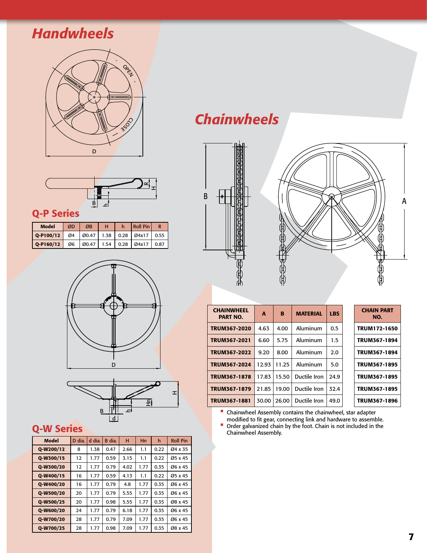# *Handwheels*





#### Q-P Series

| Model       | ØD | ØB                | н | Roll Pin                            |      |
|-------------|----|-------------------|---|-------------------------------------|------|
| $Q-P100/12$ | Ø4 |                   |   | $\vert$ Ø0.47   1.38   0.28   Ø4x17 | 0.55 |
| $O-P160/12$ |    | 06   00.47   1.54 |   | 0.28 0.4x17                         | 0.87 |





### Q-W Series

| Model     | D dia. | d dia. | B dia. | н    | Hn   | h    | <b>Roll Pin</b> |
|-----------|--------|--------|--------|------|------|------|-----------------|
| Q-W200/12 | 8      | 1.38   | 0.47   | 2.66 | 1.1  | 0.22 | Ø4 x 35         |
| Q-W300/15 | 12     | 1.77   | 0.59   | 3.15 | 1.1  | 0.22 | Ø5 x 45         |
| Q-W300/20 | 12     | 1.77   | 0.79   | 4.02 | 1.77 | 0.35 | Ø6 x 45         |
| Q-W400/15 | 16     | 1.77   | 0.59   | 4.13 | 1.1  | 0.22 | Ø5 x 45         |
| Q-W400/20 | 16     | 1.77   | 0.79   | 4.8  | 1.77 | 0.35 | Ø6 x 45         |
| Q-W500/20 | 20     | 1.77   | 0.79   | 5.55 | 1.77 | 0.35 | Ø6 x 45         |
| Q-W500/25 | 20     | 1.77   | 0.98   | 5.55 | 1.77 | 0.35 | Ø8 x 45         |
| Q-W600/20 | 24     | 1.77   | 0.79   | 6.18 | 1.77 | 0.35 | Ø6 x 45         |
| O-W700/20 | 28     | 1.77   | 0.79   | 7.09 | 1.77 | 0.35 | Ø6 x 45         |
| 0-W700/25 | 28     | 1.77   | 0.98   | 7.09 | 1.77 | 0.35 | Ø8 x 45         |

# *Chainwheels*





| <b>CHAINWHEEL</b><br><b>PART NO.</b> | A     | B     | <b>MATERIAL</b> | <b>LBS</b> | <b>CHAIN PART</b><br>NO. |
|--------------------------------------|-------|-------|-----------------|------------|--------------------------|
| TRUM367-2020                         | 4.63  | 4.00  | Aluminum        | 0.5        | TRUM172-1650             |
| TRUM367-2021                         | 6.60  | 5.75  | Aluminum        | 1.5        | TRUM367-1894             |
| TRUM367-2022                         | 9.20  | 8.00  | Aluminum        | 2.0        | TRUM367-1894             |
| TRUM367-2024                         | 12.93 | 11.25 | Aluminum        | 5.0        | TRUM367-1895             |
| TRUM367-1878                         | 17.83 | 15.50 | Ductile Iron    | 24.9       | TRUM367-1895             |
| TRUM367-1879                         | 21.85 | 19.00 | Ductile Iron    | 32.4       | TRUM367-1895             |
| TRUM367-1881                         | 30.00 | 26.00 | Ductile Iron    | 49.0       | TRUM367-1896             |

• Chainwheel Assembly contains the chainwheel, star adapter

modified to fit gear, connecting link and hardware to assemble. • Order galvanized chain by the foot. Chain is not included in the Chainwheel Assembly.